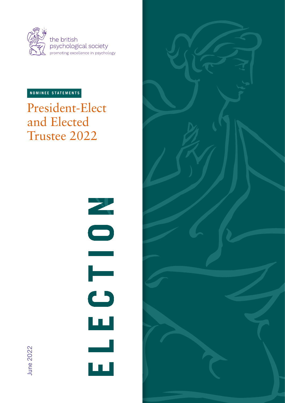

# **NOMINEE STATEMENTS**

President-Elect and Elected Trustee 2022

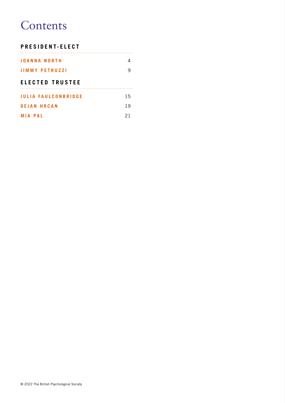# **Contents**

# **PRESIDENT-ELECT**

| <b>JOANNA NORTH</b>        | 4  |
|----------------------------|----|
| <b>JIMMY PETRUZZI</b>      |    |
| <b>ELECTED TRUSTEE</b>     |    |
| <b>JULIA FAULCONBRIDGE</b> | 15 |
| <b>DEJAN HRCAN</b>         | 19 |
| <b>MIA PAL</b>             | 21 |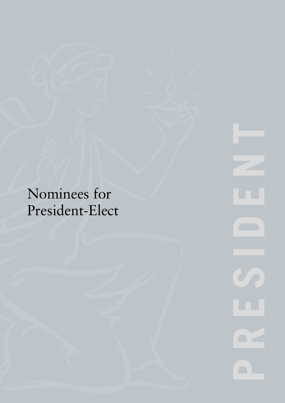Nominees for President-Elect **PRESIDENT A**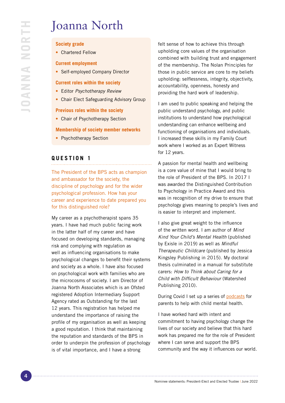# Joanna North

## **Society grade**

• Chartered Fellow

#### **Current employment**

• Self-employed Company Director

#### **Current roles within the society**

- Editor *Psychotherapy Review*
- Chair Elect Safeguarding Advisory Group

#### **Previous roles within the society**

• Chair of Psychotherapy Section

#### **Membership of society member networks**

• Psychotherapy Section

# **QUESTION 1**

The President of the BPS acts as champion and ambassador for the society, the discipline of psychology and for the wider psychological profession. How has your career and experience to date prepared you for this distinguished role?

My career as a psychotherapist spans 35 years. I have had much public facing work in the latter half of my career and have focused on developing standards, managing risk and complying with regulation as well as influencing organisations to make psychological changes to benefit their systems and society as a whole. I have also focused on psychological work with families who are the microcosms of society. I am Director of Joanna North Associates which is an Ofsted registered Adoption Intermediary Support Agency rated as Outstanding for the last 12 years. This registration has helped me understand the importance of raising the profile of my organisation as well as keeping a good reputation. I think that maintaining the reputation and standards of the BPS in order to underpin the profession of psychology is of vital importance, and I have a strong

felt sense of how to achieve this through upholding core values of the organisation combined with building trust and engagement of the membership. The Nolan Principles for those in public service are core to my beliefs upholding: selflessness, integrity, objectivity, accountability, openness, honesty and providing the hard work of leadership.

I am used to public speaking and helping the public understand psychology, and public institutions to understand how psychological understanding can enhance wellbeing and functioning of organisations and individuals. I increased these skills in my Family Court work where I worked as an Expert Witness for 12 years.

A passion for mental health and wellbeing is a core value of mine that I would bring to the role of President of the BPS. In 2017 I was awarded the Distinguished Contribution to Psychology in Practice Award and this was in recognition of my drive to ensure that psychology gives meaning to people's lives and is easier to interpret and implement.

I also give great weight to the influence of the written word. I am author of *Mind Kind Your Child's Mental Health* (published by Exisle in 2019) as well as *Mindful Therapeutic Childcare* (published by Jessica Kingsley Publishing in 2015). My doctoral thesis culminated in a manual for substitute carers: *How to Think about Caring for a Child with Difficult Behaviour* (Watershed Publishing 2010).

During Covid I set up a series of [podcasts](https://www.buzzsprout.com/1696162/10611329 ) for parents to help with child mental health.

I have worked hard with intent and commitment to having psychology change the lives of our society and believe that this hard work has prepared me for the role of President where I can serve and support the BPS community and the way it influences our world.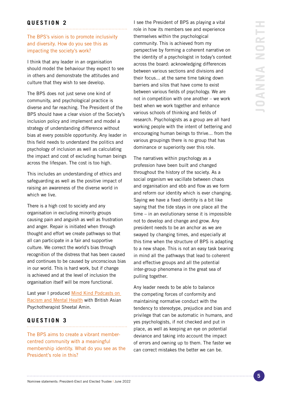# **QUESTION 2**

# The BPS's vision is to promote inclusivity and diversity. How do you see this as impacting the society's work?

I think that any leader in an organisation should model the behaviour they expect to see in others and demonstrate the attitudes and culture that they wish to see develop.

The BPS does not just serve one kind of community, and psychological practice is diverse and far reaching. The President of the BPS should have a clear vision of the Society's inclusion policy and implement and model a strategy of understanding difference without bias at every possible opportunity. Any leader in this field needs to understand the politics and psychology of inclusion as well as calculating the impact and cost of excluding human beings across the lifespan. The cost is too high.

This includes an understanding of ethics and safeguarding as well as the positive impact of raising an awareness of the diverse world in which we live.

There is a high cost to society and any organisation in excluding minority groups causing pain and anguish as well as frustration and anger. Repair is initiated when through thought and effort we create pathways so that all can participate in a fair and supportive culture. We correct the world's bias through recognition of the distress that has been caused and continues to be caused by unconscious bias in our world. This is hard work, but if change is achieved and at the level of inclusion the organisation itself will be more functional.

Last year I produced Mind Kind Podcasts on [Racism and Mental Health](https://www.buzzsprout.com/1696162/8307515) with British Asian Psychotherapist Sheetal Amin.

# **QUESTION 3**

The BPS aims to create a vibrant membercentred community with a meaningful membership identity. What do you see as the President's role in this?

I see the President of BPS as playing a vital role in how its members see and experience themselves within the psychological community. This is achieved from my perspective by forming a coherent narrative on the identity of a psychologist in today's context across the board: acknowledging differences between various sections and divisions and their focus... at the same time taking down barriers and silos that have come to exist between various fields of psychology. We are not in competition with one another – we work best when we work together and enhance various schools of thinking and fields of research. Psychologists as a group are all hard working people with the intent of bettering and encouraging human beings to thrive... from the various groupings there is no group that has dominance or superiority over this role.

The narratives within psychology as a profession have been built and changed throughout the history of the society. As a social organism we vacillate between chaos and organisation and ebb and flow as we form and reform our identity which is ever changing. Saying we have a fixed identity is a bit like saying that the tide stays in one place all the time – in an evolutionary sense it is impossible not to develop and change and grow. Any president needs to be an anchor as we are swayed by changing times, and especially at this time when the structure of BPS is adapting to a new shape. This is not an easy task bearing in mind all the pathways that lead to coherent and effective groups and all the potential inter-group phenomena in the great sea of pulling together.

Any leader needs to be able to balance the competing forces of conformity and maintaining normative conduct with the tendency to stereotype, prejudice and bias and privilege that can be automatic in humans, and yes psychologists, if not checked and put in place, as well as keeping an eye on potential deviance and taking into account the impact of errors and owning up to them. The faster we can correct mistakes the better we can be.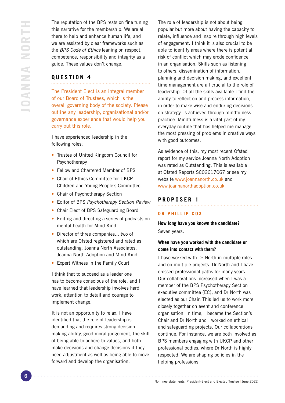The reputation of the BPS rests on fine tuning this narrative for the membership. We are all there to help and enhance human life, and we are assisted by clear frameworks such as the *BPS Code of Ethics* leaning on respect, competence, responsibility and integrity as a guide. These values don't change.

# **QUESTION 4**

The President Elect is an integral member of our Board of Trustees, which is the overall governing body of the society. Please outline any leadership, organisational and/or governance experience that would help you carry out this role.

I have experienced leadership in the following roles:

- Trustee of United Kingdom Council for Psychotherapy
- Fellow and Chartered Member of BPS
- Chair of Ethics Committee for UKCP Children and Young People's Committee
- Chair of Psychotherapy Section
- Editor of BPS *Psychotherapy Section Review*
- Chair Elect of BPS Safeguarding Board
- Editing and directing a series of podcasts on mental health for Mind Kind
- Director of three companies... two of which are Ofsted registered and rated as outstanding: Joanna North Associates, Joanna North Adoption and Mind Kind
- Expert Witness in the Family Court.

I think that to succeed as a leader one has to become conscious of the role, and I have learned that leadership involves hard work, attention to detail and courage to implement change.

It is not an opportunity to relax. I have identified that the role of leadership is demanding and requires strong decisionmaking ability, good moral judgement, the skill of being able to adhere to values, and both make decisions and change decisions if they need adjustment as well as being able to move forward and develop the organisation.

The role of leadership is not about being popular but more about having the capacity to relate, influence and inspire through high levels of engagement. I think it is also crucial to be able to identify areas where there is potential risk of conflict which may erode confidence in an organisation. Skills such as listening to others, dissemination of information, planning and decision making, and excellent time management are all crucial to the role of leadership. Of all the skills available I find the ability to reflect on and process information, in order to make wise and enduring decisions on strategy, is achieved through mindfulness practice. Mindfulness is a vital part of my everyday routine that has helped me manage the most pressing of problems in creative ways with good outcomes.

As evidence of this, my most recent Ofsted report for my service Joanna North Adoption was rated as Outstanding. This is available at Ofsted Reports SC02617067 or see my website [www.joannanorth.co.uk](http://www.joannanorth.co.uk) and [www.joannanorthadoption.co.uk.](http://www.joannanorthadoption.co.uk)

# **PROPOSER 1**

# **DR PHILLIP COX**

**How long have you known the candidate?**  Seven years.

# **When have you worked with the candidate or come into contact with them?**

I have worked with Dr North in multiple roles and on multiple projects. Dr North and I have crossed professional paths for many years. Our collaborations increased when I was a member of the BPS Psychotherapy Section executive committee (EC), and Dr North was elected as our Chair. This led us to work more closely together on event and conference organisation. In time, I became the Section's Chair and Dr North and I worked on ethical and safeguarding projects. Our collaborations continue. For instance, we are both involved as BPS members engaging with UKCP and other professional bodies, where Dr North is highly respected. We are shaping policies in the helping professions.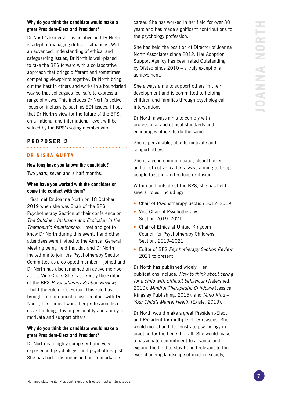# **Why do you think the candidate would make a great President-Elect and President?**

Dr North's leadership is creative and Dr North is adept at managing difficult situations. With an advanced understanding of ethical and safeguarding issues, Dr North is well-placed to take the BPS forward with a collaborative approach that brings different and sometimes competing viewpoints together. Dr North bring out the best in others and works in a boundaried way so that colleagues feel safe to express a range of views. This includes Dr North's active focus on inclusivity, such as EDI issues. I hope that Dr North's view for the future of the BPS, on a national and international level, will be valued by the BPS's voting membership.

# **PROPOSER 2**

### **DR NISHA GUPTA**

#### **How long have you known the candidate?**

Two years, seven and a half months.

## **When have you worked with the candidate or come into contact with them?**

I first met Dr Joanna North on 18 October 2019 when she was Chair of the BPS Psychotherapy Section at their conference on *The Outsider: Inclusion and Exclusion in the Therapeutic Relationship*. I met and got to know Dr North during this event. I and other attendees were invited to the Annual General Meeting being held that day and Dr North invited me to join the Psychotherapy Section Committee as a co-opted member. I joined and Dr North has also remained an active member as the Vice Chair. She is currently the Editor of the BPS *Psychotherapy Section Review*; I hold the role of Co-Editor. This role has brought me into much closer contact with Dr North, her clinical work, her professionalism, clear thinking, driven personality and ability to motivate and support others.

## **Why do you think the candidate would make a great President-Elect and President?**

Dr North is a highly competent and very experienced psychologist and psychotherapist. She has had a distinguished and remarkable

career. She has worked in her field for over 30 years and has made significant contributions to the psychology profession.

She has held the position of Director of Joanna North Associates since 2012. Her Adoption Support Agency has been rated Outstanding by Ofsted since 2010 – a truly exceptional achievement.

She always aims to support others in their development and is committed to helping children and families through psychological interventions.

Dr North always aims to comply with professional and ethical standards and encourages others to do the same.

She is personable, able to motivate and support others.

She is a good communicator, clear thinker and an effective leader, always aiming to bring people together and reduce exclusion.

Within and outside of the BPS, she has held several roles, including:

- Chair of Psychotherapy Section 2017–2019
- Vice Chair of Psychotherapy Section 2019–2021
- Chair of Ethics at United Kingdom Council for Psychotherapy Childrens Section. 2019–2021
- Editor of BPS *Psychotherapy Section Review*  2021 to present.

Dr North has published widely. Her publications include: *How to think about caring for a child with difficult behaviour* (Watershed, 2010); *Mindful Therapeutic Childcare* (Jessica Kingsley Publishing, 2015); and *Mind Kind – Your Child's Mental Health* (Exisle, 2019).

Dr North would make a great President-Elect and President for multiple other reasons. She would model and demonstrate psychology in practice for the benefit of all. She would make a passionate commitment to advance and expand the field to stay fit and relevant to the ever-changing landscape of modern society,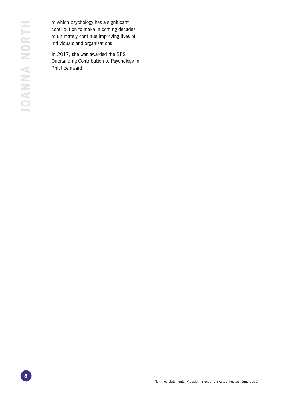to which psychology has a significant contribution to make in coming decades, to ultimately continue improving lives of individuals and organisations.

In 2017, she was awarded the BPS Outstanding Contribution to Psychology in Practice award.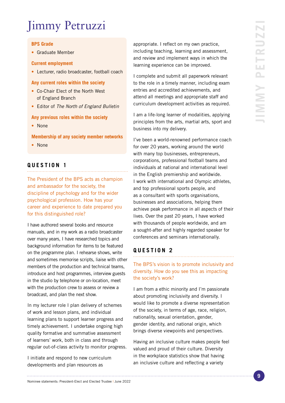# Jimmy Petruzzi

## **BPS Grade**

• Graduate Member

### **Current employment**

• Lecturer, radio broadcaster, football coach

## **Any current roles within the society**

- Co-Chair Elect of the North West of England Branch
- Editor of *The North of England Bulletin*

# **Any previous roles within the society**

• None

**Membership of any society member networks**

• None

#### **QUESTION 1**

The President of the BPS acts as champion and ambassador for the society, the discipline of psychology and for the wider psychological profession. How has your career and experience to date prepared you for this distinguished role?

I have authored several books and resource manuals, and in my work as a radio broadcaster over many years, I have researched topics and background information for items to be featured on the programme plan. I rehearse shows, write and sometimes memorise scripts, liaise with other members of the production and technical teams, introduce and host programmes, interview guests in the studio by telephone or on-location, meet with the production crew to assess or review a broadcast, and plan the next show.

In my lecturer role I plan delivery of schemes of work and lesson plans, and individual learning plans to support learner progress and timely achievement. I undertake ongoing high quality formative and summative assessment of learners' work, both in class and through regular out-of-class activity to monitor progress.

I initiate and respond to new curriculum developments and plan resources as

appropriate. I reflect on my own practice, including teaching, learning and assessment, and review and implement ways in which the learning experience can be improved.

I complete and submit all paperwork relevant to the role in a timely manner, including exam entries and accredited achievements, and attend all meetings and appropriate staff and curriculum development activities as required.

I am a life-long learner of modalities, applying principles from the arts, martial arts, sport and business into my delivery.

I've been a world-renowned performance coach for over 20 years, working around the world with many top businesses, entrepreneurs, corporations, professional football teams and individuals at national and international level in the English premiership and worldwide. I work with international and Olympic athletes, and top professional sports people, and as a consultant with sports organisations, businesses and associations, helping them achieve peak performance in all aspects of their lives. Over the past 20 years, I have worked with thousands of people worldwide, and am a sought-after and highly regarded speaker for conferences and seminars internationally.

# **QUESTION 2**

The BPS's vision is to promote inclusivity and diversity. How do you see this as impacting the society's work?

I am from a ethic minority and I'm passionate about promoting inclusivity and diversity. I would like to promote a diverse representation of the society, in terms of age, race, religion, nationality, sexual orientation, gender, gender identity, and national origin, which brings diverse viewpoints and perspectives.

Having an inclusive culture makes people feel valued and proud of their culture. Diversity in the workplace statistics show that having an inclusive culture and reflecting a variety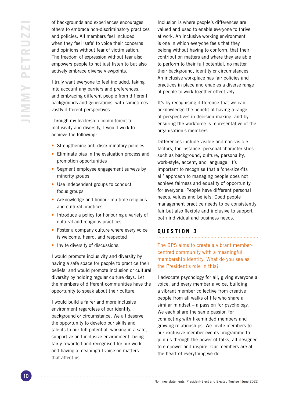of backgrounds and experiences encourages others to embrace non-discriminatory practices and policies. All members feel included when they feel 'safe' to voice their concerns and opinions without fear of victimisation. The freedom of expression without fear also empowers people to not just listen to but also actively embrace diverse viewpoints.

I truly want everyone to feel included, taking into account any barriers and preferences, and embracing different people from different backgrounds and generations, with sometimes vastly different perspectives.

Through my leadership commitment to inclusivity and diversity, I would work to achieve the following:

- Strengthening anti-discriminatory policies
- Eliminate bias in the evaluation process and promotion opportunities
- Segment employee engagement surveys by minority groups
- Use independent groups to conduct focus groups
- Acknowledge and honour multiple religious and cultural practices
- Introduce a policy for honouring a variety of cultural and religious practices
- Foster a company culture where every voice is welcome, heard, and respected
- Invite diversity of discussions.

I would promote inclusivity and diversity by having a safe space for people to practice their beliefs, and would promote inclusion or cultural diversity by holding regular culture days. Let the members of different communities have the opportunity to speak about their culture.

I would build a fairer and more inclusive environment regardless of our identity, background or circumstance. We all deserve the opportunity to develop our skills and talents to our full potential, working in a safe, supportive and inclusive environment, being fairly rewarded and recognised for our work and having a meaningful voice on matters that affect us.

Inclusion is where people's differences are valued and used to enable everyone to thrive at work. An inclusive working environment is one in which everyone feels that they belong without having to conform, that their contribution matters and where they are able to perform to their full potential, no matter their background, identity or circumstances. An inclusive workplace has fair policies and practices in place and enables a diverse range of people to work together effectively.

It's by recognising difference that we can acknowledge the benefit of having a range of perspectives in decision-making, and by ensuring the workforce is representative of the organisation's members

Differences include visible and non-visible factors, for instance, personal characteristics such as background, culture, personality, work-style, accent, and language. It's important to recognise that a 'one-size-fits all' approach to managing people does not achieve fairness and equality of opportunity for everyone. People have different personal needs, values and beliefs. Good people management practice needs to be consistently fair but also flexible and inclusive to support both individual and business needs.

# **QUESTION 3**

The BPS aims to create a vibrant membercentred community with a meaningful membership identity. What do you see as the President's role in this?

I advocate psychology for all, giving everyone a voice, and every member a voice, building a vibrant member collective from creative people from all walks of life who share a similar mindset – a passion for psychology. We each share the same passion for connecting with likeminded members and growing relationships. We invite members to our exclusive member events programme to join us through the power of talks, all designed to empower and inspire. Our members are at the heart of everything we do.

Nominee statements: President-Elect and Elected Trustee | June 2022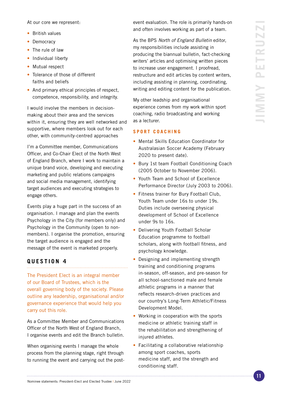At our core we represent:

- British values
- Democracy
- The rule of law
- Individual liberty
- Mutual respect
- Tolerance of those of different faiths and beliefs
- And primary ethical principles of respect, competence, responsibility, and integrity.

I would involve the members in decisionmaking about their area and the services within it, ensuring they are well networked and supportive, where members look out for each other, with community-centred approaches

I'm a Committee member, Communications Officer, and Co-Chair Elect of the North West of England Branch, where I work to maintain a unique brand voice, developing and executing marketing and public relations campaigns and social media management, identifying target audiences and executing strategies to engage others.

Events play a huge part in the success of an organisation. I manage and plan the events Psychology in the City (for members only) and Psychology in the Community (open to nonmembers). I organise the promotion, ensuring the target audience is engaged and the message of the event is marketed properly.

# **QUESTION 4**

The President Elect is an integral member of our Board of Trustees, which is the overall governing body of the society. Please outline any leadership, organisational and/or governance experience that would help you carry out this role.

As a Committee Member and Communications Officer of the North West of England Branch, I organise events and edit the Branch bulletin.

When organising events I manage the whole process from the planning stage, right through to running the event and carrying out the postevent evaluation. The role is primarily hands-on and often involves working as part of a team.

As the BPS *North of England Bulletin* editor, my responsibilities include assisting in producing the biannual bulletin, fact-checking writers' articles and optimising written pieces to increase user engagement. I proofread, restructure and edit articles by content writers, including assisting in planning, coordinating, writing and editing content for the publication.

My other leadship and organisational experience comes from my work within sport coaching, radio broadcasting and working as a lecturer.

# **S P O R T C O A C H I N G**

- Mental Skills Education Coordinator for Australasian Soccer Academy (February 2020 to present date).
- Bury 1st team Football Conditioning Coach (2005 October to November 2006).
- Youth Team and School of Excellence Performance Director (July 2003 to 2006).
- Fitness trainer for Bury Football Club. Youth Team under 16s to under 19s. Duties include overseeing physical development of School of Excellence under 9s to 16s.
- Delivering Youth Football Scholar Education programme to football scholars, along with football fitness, and psychology knowledge.
- Designing and implementing strength training and conditioning programs in-season, off-season, and pre-season for all school-sanctioned male and female athletic programs in a manner that reflects research-driven practices and our country's Long-Term Athletic/Fitness Development Model.
- Working in cooperation with the sports medicine or athletic training staff in the rehabilitation and strengthening of injured athletes.
- Facilitating a collaborative relationship among sport coaches, sports medicine staff, and the strength and conditioning staff.

Nominee statements: President-Elect and Elected Trustee | June 2022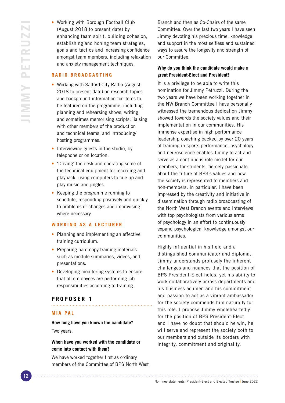• Working with Borough Football Club (August 2018 to present date) by enhancing team spirit, building cohesion, establishing and honing team strategies, goals and tactics and increasing confidence amongst team members, including relaxation and anxiety management techniques.

#### **R A D I O B R O A D C A S T I N G**

- Working with Salford City Radio (August 2018 to present date) on research topics and background information for items to be featured on the programme, including planning and rehearsing shows, writing and sometimes memorising scripts, liaising with other members of the production and technical teams, and introducing/ hosting programmes.
- Interviewing guests in the studio, by telephone or on location.
- 'Driving' the desk and operating some of the technical equipment for recording and playback, using computers to cue up and play music and jingles.
- Keeping the programme running to schedule, responding positively and quickly to problems or changes and improvising where necessary.

## **WORKING AS A LECTURER**

- Planning and implementing an effective training curriculum.
- Preparing hard copy training materials such as module summaries, videos, and presentations.
- Developing monitoring systems to ensure that all employees are performing job responsibilities according to training.

# **PROPOSER 1**

#### **MIA PAL**

**How long have you known the candidate?** Two years.

## **When have you worked with the candidate or come into contact with them?**

We have worked together first as ordinary members of the Committee of BPS North West

Branch and then as Co-Chairs of the same Committee. Over the last two years I have seen Jimmy devoting his precious time, knowledge and support in the most selfless and sustained ways to assure the longevity and strength of our Committee.

# **Why do you think the candidate would make a great President-Elect and President?**

It is a privilege to be able to write this nomination for Jimmy Petruzzi. During the two years we have been working together in the NW Branch Committee I have personally witnessed the tremendous dedication Jimmy showed towards the society values and their implementation in our communities. His immense expertise in high performance leadership coaching backed by over 20 years of training in sports performance, psychology and neuroscience enables Jimmy to act and serve as a continuous role model for our members, for students, fiercely passionate about the future of BPS's values and how the society is represented to members and non-members. In particular, I have been impressed by the creativity and initiative in dissemination through radio broadcasting of the North West Branch events and interviews with top psychologists from various arms of psychology in an effort to continuously expand psychological knowledge amongst our communities.

Highly influential in his field and a distinguished communicator and diplomat, Jimmy understands profusely the inherent challenges and nuances that the position of BPS President-Elect holds, yet his ability to work collaboratively across departments and his business acumen and his commitment and passion to act as a vibrant ambassador for the society commends him naturally for this role. I propose Jimmy wholeheartedly for the position of BPS President-Elect and I have no doubt that should he win, he will serve and represent the society both to our members and outside its borders with integrity, commitment and originality.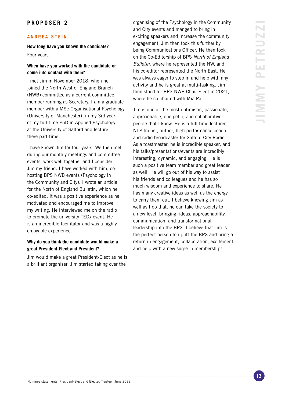# **PROPOSER 2**

#### **ANDREA STEIN**

**How long have you known the candidate?**

Four years.

### **When have you worked with the candidate or come into contact with them?**

I met Jim in November 2018, when he joined the North West of England Branch (NWB) committee as a current committee member running as Secretary. I am a graduate member with a MSc Organisational Psychology (University of Manchester), in my 3rd year of my full-time PhD in Applied Psychology at the University of Salford and lecture there part-time.

I have known Jim for four years. We then met during our monthly meetings and committee events, work well together and I consider Jim my friend. I have worked with him, cohosting BPS NWB events (Psychology in the Community and City). I wrote an article for the North of England Bulletin, which he co-edited. It was a positive experience as he motivated and encouraged me to improve my writing. He interviewed me on the radio to promote the university TEDx event. He is an incredible facilitator and was a highly enjoyable experience.

## **Why do you think the candidate would make a great President-Elect and President?**

Jim would make a great President-Elect as he is a brilliant organiser. Jim started taking over the

organising of the Psychology in the Community and City events and manged to bring in exciting speakers and increase the community engagement. Jim then took this further by being Communications Officer. He then took on the Co-Editorship of BPS *North of England Bulletin*, where he represented the NW, and his co-editor represented the North East. He was always eager to step in and help with any activity and he is great at multi-tasking. Jim then stood for BPS NWB Chair Elect in 2021, where he co-chaired with Mia Pal.

Jim is one of the most optimistic, passionate, approachable, energetic, and collaborative people that I know. He is a full-time lecturer, NLP trainer, author, high performance coach and radio broadcaster for Salford City Radio. As a toastmaster, he is incredible speaker, and his talks/presentations/events are incredibly interesting, dynamic, and engaging. He is such a positive team member and great leader as well. He will go out of his way to assist his friends and colleagues and he has so much wisdom and experience to share. He has many creative ideas as well as the energy to carry them out. I believe knowing Jim as well as I do that, he can take the society to a new level, bringing, ideas, approachability, communication, and transformational leadership into the BPS. I believe that Jim is the perfect person to uplift the BPS and bring a return in engagement, collaboration, excitement and help with a new surge in membership!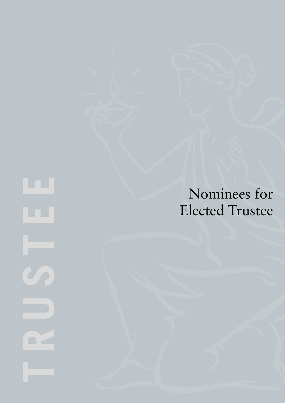Nominees for Elected Trustee

 $\blacksquare$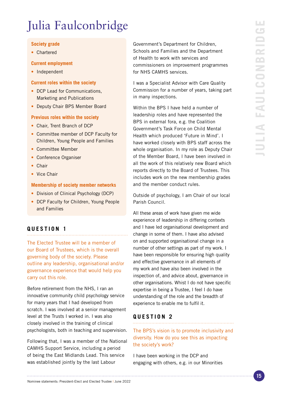# Julia Faulconbridge

# **Society grade**

• Chartered

#### **Current employment**

• Independent

#### **Current roles within the society**

- DCP Lead for Communications, Marketing and Publications
- Deputy Chair BPS Member Board

#### **Previous roles within the society**

- Chair, Trent Branch of DCP
- Committee member of DCP Faculty for Children, Young People and Families
- Committee Member
- Conference Organiser
- Chair
- Vice Chair

#### **Membership of society member networks**

- Division of Clinical Psychology (DCP)
- DCP Faculty for Children, Young People and Families

# **QUESTION 1**

The Elected Trustee will be a member of our Board of Trustees, which is the overall governing body of the society. Please outline any leadership, organisational and/or governance experience that would help you carry out this role.

Before retirement from the NHS, I ran an innovative community child psychology service for many years that I had developed from scratch. I was involved at a senior management level at the Trusts I worked in. I was also closely involved in the training of clinical psychologists, both in teaching and supervision.

Following that, I was a member of the National CAMHS Support Service, including a period of being the East Midlands Lead. This service was established jointly by the last Labour

Government's Department for Children, Schools and Families and the Department of Health to work with services and commissioners on improvement programmes for NHS CAMHS services.

I was a Specialist Advisor with Care Quality Commission for a number of years, taking part in many inspections.

Within the BPS I have held a number of leadership roles and have represented the BPS in external fora, e.g. the Coalition Government's Task Force on Child Mental Health which produced 'Future in Mind'. I have worked closely with BPS staff across the whole organisation. In my role as Deputy Chair of the Member Board, I have been involved in all the work of this relatively new Board which reports directly to the Board of Trustees. This includes work on the new membership grades and the member conduct rules.

Outside of psychology, I am Chair of our local Parish Council.

All these areas of work have given me wide experience of leadership in differing contexts and I have led organisational development and change in some of them. I have also advised on and supported organisational change in a number of other settings as part of my work. I have been responsible for ensuring high quality and effective governance in all elements of my work and have also been involved in the inspection of, and advice about, governance in other organisations. Whist I do not have specific expertise in being a Trustee, I feel I do have understanding of the role and the breadth of experience to enable me to fulfil it.

# **QUESTION 2**

# The BPS's vision is to promote inclusivity and diversity. How do you see this as impacting the society's work?

I have been working in the DCP and engaging with others, e.g. in our Minorities

Nominee statements: President-Elect and Elected Trustee | June 2022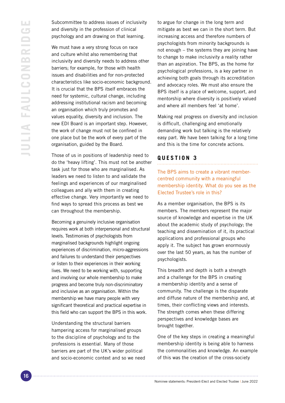Subcommittee to address issues of inclusivity and diversity in the profession of clinical psychology and am drawing on that learning.

We must have a very strong focus on race and culture whilst also remembering that inclusivity and diversity needs to address other barriers; for example, for those with health issues and disabilities and for non-protected characteristics like socio-economic background. It is crucial that the BPS itself embraces the need for systemic, cultural change, including addressing institutional racism and becoming an organisation which truly promotes and values equality, diversity and inclusion. The new EDI Board is an important step. However, the work of change must not be confined in one place but be the work of every part of the organisation, guided by the Board.

Those of us in positions of leadership need to do the 'heavy lifting'. This must not be another task just for those who are marginalised. As leaders we need to listen to and validate the feelings and experiences of our marginalised colleagues and ally with them in creating effective change. Very importantly we need to find ways to spread this process as best we can throughout the membership.

Becoming a genuinely inclusive organisation requires work at both interpersonal and structural levels. Testimonies of psychologists from marginalised backgrounds highlight ongoing experiences of discrimination, micro-aggressions and failures to understand their perspectives or listen to their experiences in their working lives. We need to be working with, supporting and involving our whole membership to make progress and become truly non-discriminatory and inclusive as an organisation. Within the membership we have many people with very significant theoretical and practical expertise in this field who can support the BPS in this work.

Understanding the structural barriers hampering access for marginalised groups to the discipline of psychology and to the professions is essential. Many of those barriers are part of the UK's wider political and socio-economic context and so we need to argue for change in the long term and mitigate as best we can in the short term. But increasing access and therefore numbers of psychologists from minority backgrounds is not enough – the systems they are joining have to change to make inclusivity a reality rather than an aspiration. The BPS, as the home for psychological professions, is a key partner in achieving both goals through its accreditation and advocacy roles. We must also ensure the BPS itself is a place of welcome, support, and mentorship where diversity is positively valued and where all members feel 'at home'.

Making real progress on diversity and inclusion is difficult, challenging and emotionally demanding work but talking is the relatively easy part. We have been talking for a long time and this is the time for concrete actions.

# **QUESTION 3**

The BPS aims to create a vibrant membercentred community with a meaningful membership identity. What do you see as the Elected Trustee's role in this?

As a member organisation, the BPS is its members. The members represent the major source of knowledge and expertise in the UK about the academic study of psychology; the teaching and dissemination of it, its practical applications and professional groups who apply it. The subject has grown enormously over the last 50 years, as has the number of psychologists.

This breadth and depth is both a strength and a challenge for the BPS in creating a membership identity and a sense of community. The challenge is the disparate and diffuse nature of the membership and, at times, their conflicting views and interests. The strength comes when these differing perspectives and knowledge bases are brought together.

One of the key steps in creating a meaningful membership identity is being able to harness the commonalities and knowledge. An example of this was the creation of the cross-society

Nominee statements: President-Elect and Elected Trustee | June 2022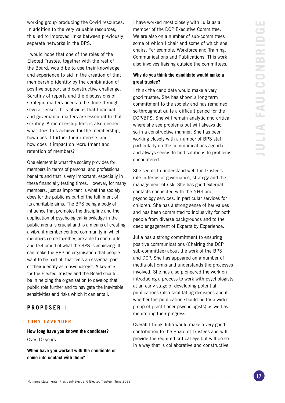working group producing the Covid resources. In addition to the very valuable resources, this led to improved links between previously separate networks in the BPS.

I would hope that one of the roles of the Elected Trustee, together with the rest of the Board, would be to use their knowledge and experience to aid in the creation of that membership identity by the combination of positive support and constructive challenge. Scrutiny of reports and the discussions of strategic matters needs to be done through several lenses. It is obvious that financial and governance matters are essential to that scrutiny. A membership lens is also needed – what does this achieve for the membership, how does it further their interests and how does it impact on recruitment and retention of members?

One element is what the society provides for members in terms of personal and professional benefits and that is very important, especially in these financially testing times. However, for many members, just as important is what the society does for the public as part of the fulfilment of its charitable aims. The BPS being a body of influence that promotes the discipline and the application of psychological knowledge in the public arena is crucial and is a means of creating a vibrant member-centred community in which members come together, are able to contribute and feel proud of what the BPS is achieving. It can make the BPS an organisation that people want to be part of, that feels an essential part of their identity as a psychologist. A key role for the Elected Trustee and the Board should be in helping the organisation to develop that public role further and to navigate the inevitable sensitivities and risks which it can entail.

#### **PROPOSER 1**

#### **TONY LAVENDER**

# **How long have you known the candidate?** Over 10 years.

**When have you worked with the candidate or come into contact with them?**

I have worked most closely with Julia as a member of the DCP Executive Committee. We are also on a number of sub-committees some of which I chair and some of which she chairs. For example, Workforce and Training, Communications and Publications. This work also involves liaising outside the committees.

## **Why do you think the candidate would make a great trustee?**

I think the candidate would make a very good trustee. She has shown a long term commitment to the society and has remained so throughout quite a difficult period for the DCP/BPS. She will remain analytic and critical where she see problems but will always do so in a constructive manner. She has been working closely with a number of BPS staff particularly on the communications agenda and always seems to find solutions to problems encountered.

She seems to understand well the trustee's role in terms of governance, strategy and the management of risk. She has good external contacts connected with the NHS and psychology services, in particular services for children. She has a strong sense of her values and has been committed to inclusivity for both people from diverse backgrounds and to the deep engagement of Experts by Experience.

Julia has a strong commitment to ensuring positive communications (Chairing the DCP sub-committee) about the work of the BPS and DCP. She has appeared on a number of media platforms and understands the processes involved. She has also pioneered the work on introducing a process to work with psychologists at an early stage of developing potential publications (also facilitating decisions about whether the publication should be for a wider group of practitioner psychologists) as well as monitoring their progress.

Overall I think Julia would make a very good contribution to the Board of Trustees and will provide the required critical eye but will do so in a way that is collaborative and constructive.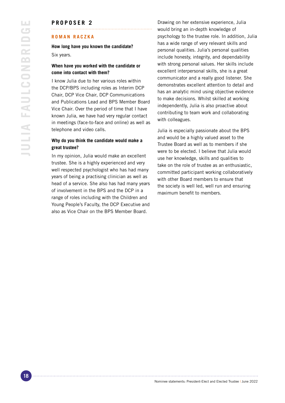### **PROPOSER 2**

#### **ROMAN RACZKA**

**How long have you known the candidate?** Six years.

#### **When have you worked with the candidate or come into contact with them?**

I know Julia due to her various roles within the DCP/BPS including roles as Interim DCP Chair, DCP Vice Chair, DCP Communications and Publications Lead and BPS Member Board Vice Chair. Over the period of time that I have known Julia, we have had very regular contact in meetings (face-to-face and online) as well as telephone and video calls.

## **Why do you think the candidate would make a great trustee?**

In my opinion, Julia would make an excellent trustee. She is a highly experienced and very well respected psychologist who has had many years of being a practising clinician as well as head of a service. She also has had many years of involvement in the BPS and the DCP in a range of roles including with the Children and Young People's Faculty, the DCP Executive and also as Vice Chair on the BPS Member Board.

Drawing on her extensive experience, Julia would bring an in-depth knowledge of psychology to the trustee role. In addition, Julia has a wide range of very relevant skills and personal qualities. Julia's personal qualities include honesty, integrity, and dependability with strong personal values. Her skills include excellent interpersonal skills, she is a great communicator and a really good listener. She demonstrates excellent attention to detail and has an analytic mind using objective evidence to make decisions. Whilst skilled at working independently, Julia is also proactive about contributing to team work and collaborating with colleagues.

Julia is especially passionate about the BPS and would be a highly valued asset to the Trustee Board as well as to members if she were to be elected. I believe that Julia would use her knowledge, skills and qualities to take on the role of trustee as an enthusiastic, committed participant working collaboratively with other Board members to ensure that the society is well led, well run and ensuring maximum benefit to members.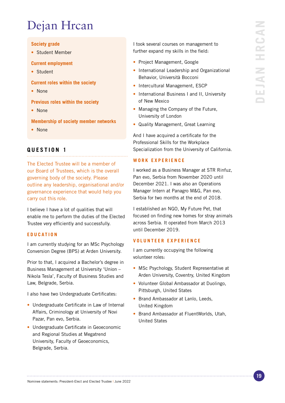# Dejan Hrcan

# **Society grade**

• Student Member

### **Current employment**

- Student
- **Current roles within the society**
- None
- **Previous roles within the society**
- None

**Membership of society member networks**

• None

# **QUESTION 1**

The Elected Trustee will be a member of our Board of Trustees, which is the overall governing body of the society. Please outline any leadership, organisational and/or governance experience that would help you carry out this role.

I believe I have a lot of qualities that will enable me to perform the duties of the Elected Trustee very efficiently and successfully.

# **EDUCATION**

I am currently studying for an MSc Psychology Conversion Degree (BPS) at Arden University.

Prior to that, I acquired a Bachelor's degree in Business Management at University 'Union – Nikola Tesla', Faculty of Business Studies and Law, Belgrade, Serbia.

I also have two Undergraduate Certificates:

- Undergraduate Certificate in Law of Internal Affairs, Criminology at University of Novi Pazar, Pan evo, Serbia.
- Undergraduate Certificate in Geoeconomic and Regional Studies at Megatrend University, Faculty of Geoeconomics, Belgrade, Serbia.

I took several courses on management to further expand my skills in the field:

- Project Management, Google
- International Leadership and Organizational Behavior, Università Bocconi
- Intercultural Management, ESCP
- International Business I and II, University of New Mexico
- Managing the Company of the Future, University of London
- Quality Management, Great Learning

And I have acquired a certificate for the Professional Skills for the Workplace Specialization from the University of California.

## **WORK EXPERIENCE**

I worked as a Business Manager at STR Rinfuz, Pan evo, Serbia from November 2020 until December 2021. I was also an Operations Manager Intern at Panagro M&G, Pan evo, Serbia for two months at the end of 2018.

I established an NGO, My Future Pet, that focused on finding new homes for stray animals across Serbia. It operated from March 2013 until December 2019.

# **VOLUNTEER EXPERIENCE**

I am currently occupying the following volunteer roles:

- MSc Psychology, Student Representative at Arden University, Coventry, United Kingdom
- Volunteer Global Ambassador at Duolingo, Pittsburgh, United States
- Brand Ambassador at Lanlo, Leeds, United Kingdom
- Brand Ambassador at FluentWorlds, Utah, United States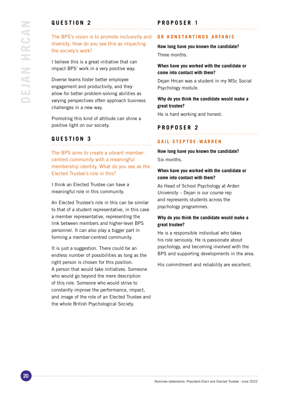# **QUESTION 2**

The BPS's vision is to promote inclusivity and diversity. How do you see this as impacting the society's work?

I believe this is a great initiative that can impact BPS' work in a very positive way.

Diverse teams foster better employee engagement and productivity, and they allow for better problem-solving abilities as varying perspectives often approach business challenges in a new way.

Promoting this kind of attitude can shine a positive light on our society.

# **QUESTION 3**

The BPS aims to create a vibrant membercentred community with a meaningful membership identity. What do you see as the Elected Trustee's role in this?

I think an Elected Trustee can have a meaningful role in this community.

An Elected Trustee's role in this can be similar to that of a student representative, in this case a member representative, representing the link between members and higher-level BPS personnel. It can also play a bigger part in forming a member-centred community.

It is just a suggestion. There could be an endless number of possibilities as long as the right person is chosen for this position. A person that would take initiatives. Someone who would go beyond the mere description of this role. Someone who would strive to constantly improve the performance, impact, and image of the role of an Elected Trustee and the whole British Psychological Society.

# **PROPOSER 1**

#### **DR KONSTANTINOS ARFANIS**

**How long have you known the candidate?** Three months.

## **When have you worked with the candidate or come into contact with them?**

Dejan Hrcan was a student in my MSc Social Psychology module.

# **Why do you think the candidate would make a great trustee?**

He is hard working and honest.

#### **PROPOSER 2**

## **GAIL STEPTOE-WARREN**

**How long have you known the candidate?** Six months.

# **When have you worked with the candidate or come into contact with them?**

As Head of School Psychology at Arden University – Dejan is our course rep and represents students across the psychology programmes.

## **Why do you think the candidate would make a great trustee?**

He is a responsible individual who takes his role seriously. He is passionate about psychology, and becoming involved with the BPS and supporting developments in the area.

His commitment and reliability are excellent.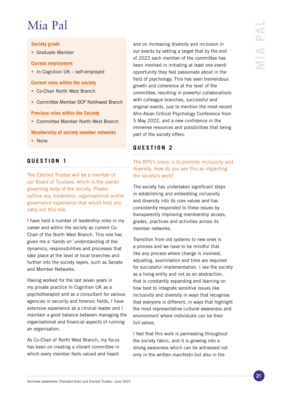# Mia Pal

# **Society grade**

• Graduate Member

### **Current employment**

• In Cognition UK – self-employed

### **Current roles within the society**

- Co-Chair North West Branch
- Committee Member DCP Northwest Branch

## **Previous roles within the Society**

• Committee Member North West Branch

**Membership of society member networks**

• None

# **QUESTION 1**

The Elected Trustee will be a member of our Board of Trustees, which is the overall governing body of the society. Please outline any leadership, organisational and/or governance experience that would help you carry out this role.

I have held a number of leadership roles in my career and within the society as current Co-Chair of the North West Branch. This role has given me a 'hands on' understanding of the dynamics, responsibilities and processes that take place at the level of local branches and further into the society layers, such as Senate and Member Networks.

Having worked for the last seven years in my private practice In Cognition UK as a psychotherapist and as a consultant for various agencies in security and forensic fields, I have extensive experience as a clinical leader and I maintain a good balance between managing the organisational and financial aspects of running an organisation.

As Co-Chair of North West Branch, my focus has been on creating a vibrant committee in which every member feels valued and heard

and on increasing diversity and inclusion in our events by setting a target that by the end of 2022 each member of the committee has been involved in initiating at least one event/ opportunity they feel passionate about in the field of psychology. This has seen tremendous growth and coherence at the level of the committee, resulting in powerful collaborations with colleague branches, successful and original events, just to mention the most recent Afro-Asian Critical Psychology Conference from 5 May 2022, and a new confidence in the immense resources and possibilities that being part of the society offers.

#### **QUESTION 2**

# The BPS's vision is to promote inclusivity and diversity. How do you see this as impacting the society's work?

The society has undertaken significant steps in establishing and embedding inclusivity and diversity into its core values and has consistently responded to these issues by transparently improving membership access, grades, practices and activities across its member networks.

Transition from old systems to new ones is a process and we have to be mindful that like any process where change is involved, adjusting, assimilation and time are required for successful implementation. I see the society as a living entity and not as an abstraction, that is constantly expanding and learning on how best to integrate sensitive issues like inclusivity and diversity in ways that recognise that everyone is different, in ways that highlight the most representative cultural awareness and environment where individuals can be their full selves.

I feel that this work is permeating throughout the society fabric, and it is growing into a strong awareness which can be witnessed not only in the written manifesto but also in the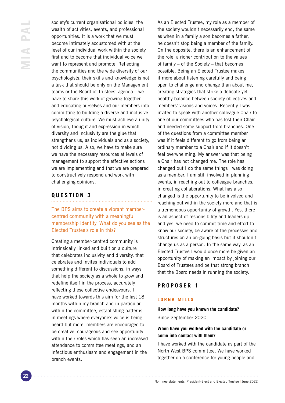society's current organisational policies, the wealth of activities, events, and professional opportunities. It is a work that we must become intimately accustomed with at the level of our individual work within the society first and to become that individual voice we want to represent and promote. Reflecting the communities and the wide diversity of our psychologists, their skills and knowledge is not a task that should be only on the Management teams or the Board of Trustees' agenda – we have to share this work of growing together and educating ourselves and our members into committing to building a diverse and inclusive psychological culture. We must achieve a unity of vision, thought and expression in which diversity and inclusivity are the glue that strengthens us, as individuals and as a society, not dividing us. Also, we have to make sure we have the necessary resources at levels of management to support the effective actions we are implementing and that we are prepared to constructively respond and work with challenging opinions.

# **QUESTION 3**

The BPS aims to create a vibrant membercentred community with a meaningful membership identity. What do you see as the Elected Trustee's role in this?

Creating a member-centred community is intrinsically linked and built on a culture that celebrates inclusivity and diversity, that celebrates and invites individuals to add something different to discussions, in ways that help the society as a whole to grow and redefine itself in the process, accurately reflecting these collective endeavours. I have worked towards this aim for the last 18 months within my branch and in particular within the committee, establishing patterns in meetings where everyone's voice is being heard but more, members are encouraged to be creative, courageous and see opportunity within their roles which has seen an increased attendance to committee meetings, and an infectious enthusiasm and engagement in the branch events.

As an Elected Trustee, my role as a member of the society wouldn't necessarily end, the same as when in a family a son becomes a father, he doesn't stop being a member of the family. On the opposite, there is an enhancement of the role, a richer contribution to the values of family – of the Society – that becomes possible. Being an Elected Trustee makes it more about listening carefully and being open to challenge and change than about me, creating strategies that strike a delicate yet healthy balance between society objectives and members' visions and voices. Recently I was invited to speak with another colleague Chair to one of our committees who has lost their Chair and needed some support from branches. One of the questions from a committee member was if it feels different to go from being an ordinary member to a Chair and if it doesn't feel overwhelming. My answer was that being a Chair has not changed me. The role has changed but I do the same things I was doing as a member. I am still involved in planning events, in reaching out to colleague branches, in creating collaborations. What has also changed is the opportunity to be involved and reaching out within the society more and that is a tremendous opportunity of growth. Yes, there is an aspect of responsibility and leadership and yes, we need to commit time and effort to know our society, be aware of the processes and structures on an on-going basis but it shouldn't change us as a person. In the same way, as an Elected Trustee I would once more be given an opportunity of making an impact by joining our Board of Trustees and be that strong branch that the Board needs in running the society.

# **PROPOSER 1**

# **LORNA MILLS**

**How long have you known the candidate?** Since September 2020.

# **When have you worked with the candidate or come into contact with them?**

I have worked with the candidate as part of the North West BPS committee. We have worked together on a conference for young people and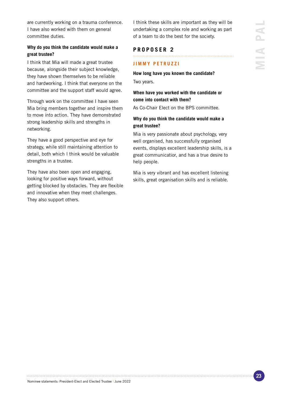are currently working on a trauma conference. I have also worked with them on general committee duties.

# **Why do you think the candidate would make a great trustee?**

I think that Mia will made a great trustee because, alongside their subject knowledge, they have shown themselves to be reliable and hardworking. I think that everyone on the committee and the support staff would agree.

Through work on the committee I have seen Mia bring members together and inspire them to move into action. They have demonstrated strong leadership skills and strengths in networking.

They have a good perspective and eye for strategy, while still maintaining attention to detail, both which I think would be valuable strengths in a trustee.

They have also been open and engaging, looking for positive ways forward, without getting blocked by obstacles. They are flexible and innovative when they meet challenges. They also support others.

I think these skills are important as they will be undertaking a complex role and working as part of a team to do the best for the society.

# **PROPOSER 2**

# **JIMMY PETRUZZI**

**How long have you known the candidate?** Two years.

# **When have you worked with the candidate or come into contact with them?**

As Co-Chair Elect on the BPS committee.

# **Why do you think the candidate would make a great trustee?**

Mia is very passionate about psychology, very well organised, has successfully organised events, displays excellent leadership skills, is a great communicatior, and has a true desire to help people.

Mia is very vibrant and has excellent listening skills, great organisation skills and is reliable.